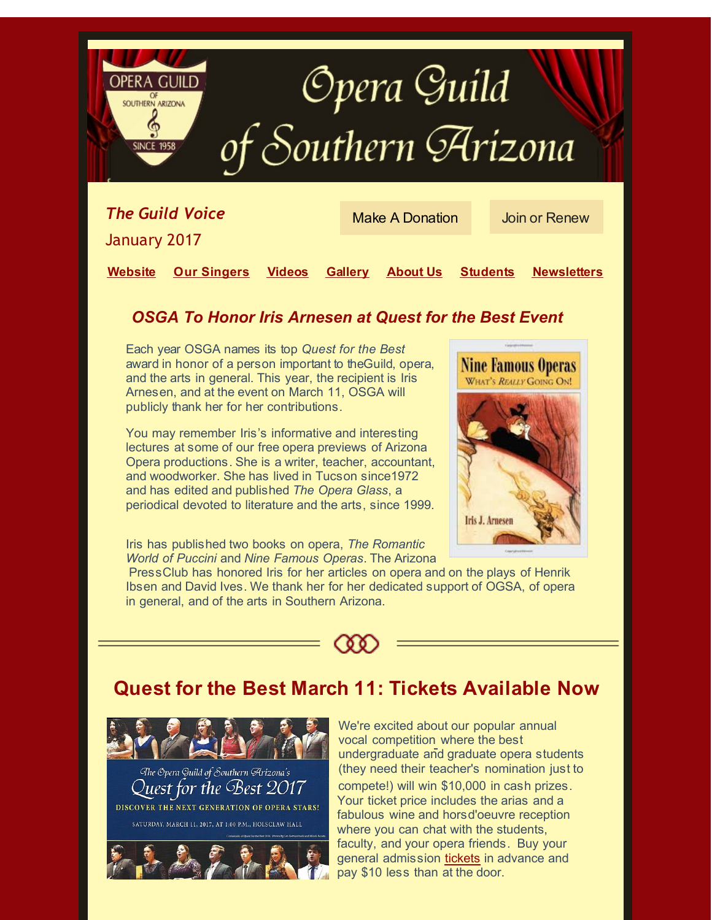

**Website [Our Singers](http://r20.rs6.net/tn.jsp?f=001p-rgpS-okgnkFRm8NK_cSfq8keM1jI2K8pQEX6dbeAJD2u5OOuMd9B78W0O-2Fg-PI-4PceJJ7NrEg2PxL_5taf5FNbTt5C4rHdsSx_wTXMpDmd5kPyX1XXhgQDRdr3flHE-CEIYZzXJsSxh_yrAVjKlbmAk8hqDhMOXPndmYSrHBL8C-ICM4w==&c=&ch=) [Videos](http://r20.rs6.net/tn.jsp?f=001p-rgpS-okgnkFRm8NK_cSfq8keM1jI2K8pQEX6dbeAJD2u5OOuMd9B78W0O-2Fg-vjRsGQ2S6K0e_ZXoP7M6h6gHagkXv4UEEro2__C3HC8xRiBNC6dz0Ny6C61ToofQACN19nr_U_8uozSHKN83HLJtgdFHhD2QC1sNA2A3tQQxAp-b58iO7Q==&c=&ch=) [Gallery](http://r20.rs6.net/tn.jsp?f=001p-rgpS-okgnkFRm8NK_cSfq8keM1jI2K8pQEX6dbeAJD2u5OOuMd9JgvY4mfCIIhdJSiI_Vy9j-CXQucrYiSzTHJ_RuLRqKhOmiK0FMn2jAsH7bKJygnv2jmFYGJ9R4bIsr1TxhUYKMTZK4kz132lQFtzBYc4wi-jw9INWT8wN0=&c=&ch=) [About Us](http://r20.rs6.net/tn.jsp?f=001p-rgpS-okgnkFRm8NK_cSfq8keM1jI2K8pQEX6dbeAJD2u5OOuMd9B78W0O-2Fg-w4CbGh8hgiplBYioPmeIXfzAgTnGu8mvHpw6hA3GVGwzGpl0lcyN66fPgDTx3yIsy3uNBY4iPLsfy6sUzrGPOw==&c=&ch=) [Students](http://r20.rs6.net/tn.jsp?f=001p-rgpS-okgnkFRm8NK_cSfq8keM1jI2K8pQEX6dbeAJD2u5OOuMd9B78W0O-2Fg-tgg4x5rEOAqsr1hEvHPm_GU3o7B2llsXK7enEDX2vFF7Jz97-deugWFnjNGbms9AnGVOecGOvCsH9C80_-lfR5XnIlK4CzNN6MQX1gdNzAbu-tXYnQq-vw==&c=&ch=) [Newsletters](http://r20.rs6.net/tn.jsp?f=001p-rgpS-okgnkFRm8NK_cSfq8keM1jI2K8pQEX6dbeAJD2u5OOuMd9B78W0O-2Fg-y-ZNQa5gqPIdP47KZs6lF-vshGdvUmraNN3SVi2v2OZ1o_xcVJqWpKxBsh9thkhRvbyGNueGHETpuOAUVBChjetoHmD5OeCJ4zUhzUSOIzs=&c=&ch=)**

### *[OSG](http://r20.rs6.net/tn.jsp?f=001p-rgpS-okgnkFRm8NK_cSfq8keM1jI2K8pQEX6dbeAJD2u5OOuMd9B78W0O-2Fg-PAkFBgL3OvTunqbwQ3-VKcO7YpVx8wlGknk5_v1VivKRlYiX4fZqfNWTJKmCGm_2k8jmN_Q0iVM=&c=&ch=)A To Honor Iris Arnesen at Quest for the Best Event*

Each year OSGA names its top *Quest for the Best* award in honor of a person important to theGuild, opera, and the arts in general. This year, the recipient is Iris Arnesen, and at the event on March 11, OSGA will publicly thank her for her contributions.

You may remember Iris's informative and interesting lectures at some of our free opera previews of Arizona Opera productions. She is a writer, teacher, accountant, and woodworker. She has lived in Tucson since1972 and has edited and published *The Opera Glass*, a periodical devoted to literature and the arts, since 1999.



Iris has published two books on opera, *The Romantic World of Puccini* and *Nine Famous Operas*. The Arizona

PressClub has honored Iris for her articles on opera and on the plays of Henrik Ibsen and David Ives. We thank her for her dedicated support of OGSA, of opera in general, and of the arts in Southern Arizona.



## **Quest for the Best March 11: Tickets Available Now**



We're excited about our popular annual vocal competition where the best undergraduate and graduate opera students (they need their teacher's nomination just to compete!) will win \$10,000 in cash prizes. Your ticket price includes the arias and a fabulous wine and horsd'oeuvre reception where you can chat with the students, faculty, and your opera friends. Buy your general admission tickets in advance and pay \$10 less than at the door.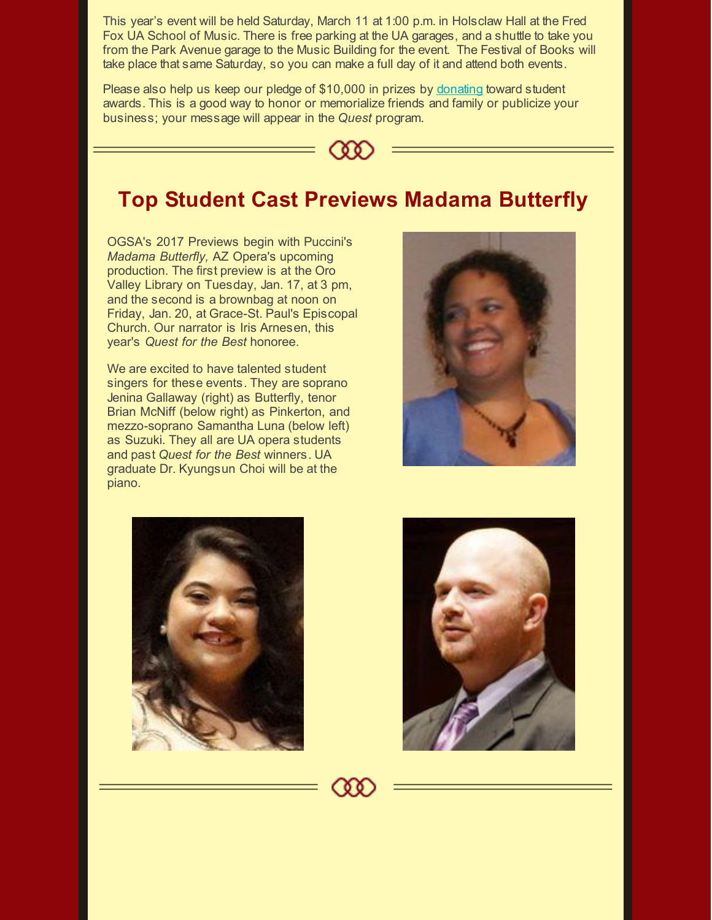This year's event will be held Saturday, March 11 at 1:00 p.m. in Holsclaw Hall at the Fred Fox UA School of Music. There is free parking at the UA garages, and a shuttle to take you from the Park Avenue garage to the Music Building for the event. The Festival of Books will take place that same Saturday, so you can make a full day of it and attend both events.

Please also help us keep our pledge of \$10,000 in prizes by [donating](http://r20.rs6.net/tn.jsp?f=001p-rgpS-okgnkFRm8NK_cSfq8keM1jI2K8pQEX6dbeAJD2u5OOuMd9B78W0O-2Fg-m6c87MC0aH9T1U6QNZWYm2QyaMDKv44jMbNfxFnSCyFM18GpTuS1siTyJ1qvyuXWs10KIqZXG4eVGxPfAQtnrgw-UfS2HGJx&c=&ch=) toward student awards. This is a good way to honor or memorialize friends and family or publicize your business; your message will appear in the *Quest* program.



# **Top Student Cast Previews Madama Butterfly**

OGSA's 2017 Previews begin with Puccini's *Madama Butterfly,* AZ Opera's upcoming production. The first preview is at the Oro Valley Library on Tuesday, Jan. 17, at 3 pm, and the second is a brownbag at noon on Friday, Jan. 20, at Grace-St. Paul's Episcopal Church. Our narrator is Iris Arnesen, this year's *Quest for the Best* honoree.

We are excited to have talented student singers for these events. They are soprano Jenina Gallaway (right) as Butterfly, tenor Brian McNiff (below right) as Pinkerton, and mezzo-soprano Samantha Luna (below left) as Suzuki. They all are UA opera students and past *Quest for the Best* winners. UA graduate Dr. Kyungsun Choi will be at the piano.